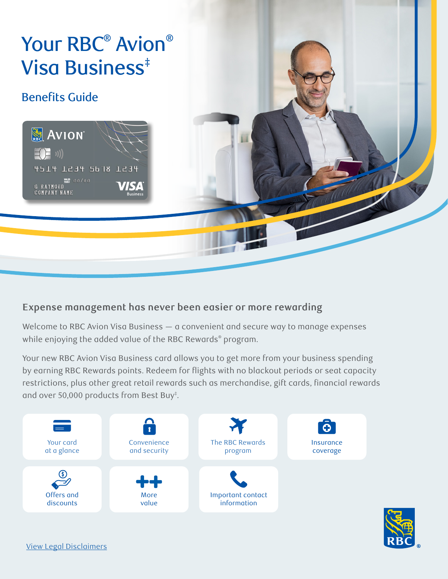<span id="page-0-0"></span>

### **Expense management has never been easier or more rewarding**

Welcome to RBC Avion Visa Business — a convenient and secure way to manage expenses while enjoying the added value of the RBC Rewards® program.

Your new RBC Avion Visa Business card allows you to get more from your business spending by earning RBC Rewards points. Redeem for flights with no blackout periods or seat capacity restrictions, plus other great retail rewards such as merchandise, gift cards, financial rewards and over 50,000 products from Best Buy<sup>‡</sup>.



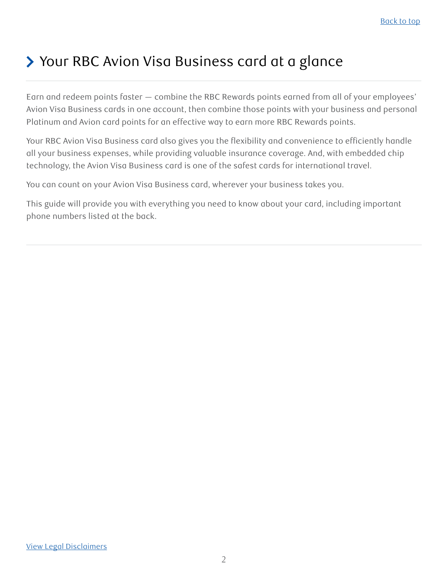## <span id="page-1-0"></span>> Your RBC Avion Visa Business card at a glance

Earn and redeem points faster — combine the RBC Rewards points earned from all of your employees' Avion Visa Business cards in one account, then combine those points with your business and personal Platinum and Avion card points for an effective way to earn more RBC Rewards points.

Your RBC Avion Visa Business card also gives you the flexibility and convenience to efficiently handle all your business expenses, while providing valuable insurance coverage. And, with embedded chip technology, the Avion Visa Business card is one of the safest cards for international travel.

You can count on your Avion Visa Business card, wherever your business takes you.

This guide will provide you with everything you need to know about your card, including important phone numbers listed at the back.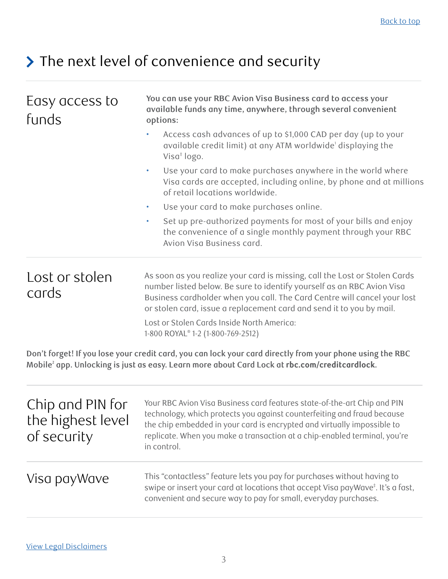# <span id="page-2-0"></span>> The next level of convenience and security

| Easy access to<br>funds                              | You can use your RBC Avion Visa Business card to access your<br>available funds any time, anywhere, through several convenient<br>options:<br>Access cash advances of up to \$1,000 CAD per day (up to your<br>available credit limit) at any ATM worldwide' displaying the<br>Visa $\dagger$ logo.                        |  |
|------------------------------------------------------|----------------------------------------------------------------------------------------------------------------------------------------------------------------------------------------------------------------------------------------------------------------------------------------------------------------------------|--|
|                                                      |                                                                                                                                                                                                                                                                                                                            |  |
|                                                      |                                                                                                                                                                                                                                                                                                                            |  |
|                                                      | Set up pre-authorized payments for most of your bills and enjoy<br>٠<br>the convenience of a single monthly payment through your RBC<br>Avion Visa Business card.                                                                                                                                                          |  |
| Lost or stolen<br>cards                              | As soon as you realize your card is missing, call the Lost or Stolen Cards<br>number listed below. Be sure to identify yourself as an RBC Avion Visa<br>Business cardholder when you call. The Card Centre will cancel your lost<br>or stolen card, issue a replacement card and send it to you by mail.                   |  |
|                                                      | Lost or Stolen Cards Inside North America:<br>1-800 ROYAL <sup>®</sup> 1-2 (1-800-769-2512)                                                                                                                                                                                                                                |  |
|                                                      | Don't forget! If you lose your credit card, you can lock your card directly from your phone using the RBC<br>Mobile <sup>2</sup> app. Unlocking is just as easy. Learn more about Card Lock at rbc.com/creditcardlock.                                                                                                     |  |
| Chip and PIN for<br>the highest level<br>of security | Your RBC Avion Visa Business card features state-of-the-art Chip and PIN<br>technology, which protects you against counterfeiting and fraud because<br>the chip embedded in your card is encrypted and virtually impossible to<br>replicate. When you make a transaction at a chip-enabled terminal, you're<br>in control. |  |
| Visa payWave                                         | This "contactless" feature lets you pay for purchases without having to<br>swipe or insert your card at locations that accept Visa payWave <sup>#</sup> . It's a fast,<br>convenient and secure way to pay for small, everyday purchases.                                                                                  |  |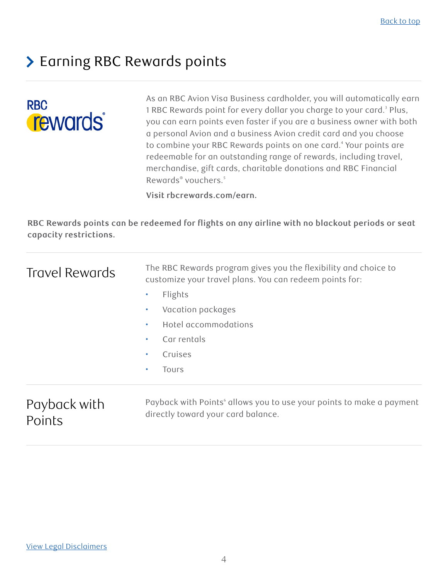## <span id="page-3-0"></span>> Earning RBC Rewards points

# **RBC rewards**

As an RBC Avion Visa Business cardholder, you will automatically earn 1 RBC Rewards point for every dollar you charge to your card.<sup>3</sup> Plus, you can earn points even faster if you are a business owner with both a personal Avion and a business Avion credit card and you choose to combine your RBC Rewards points on one card.<sup>4</sup> Your points are redeemable for an outstanding range of rewards, including travel, merchandise, gift cards, charitable donations and RBC Financial Rewards<sup>®</sup> vouchers.<sup>5</sup>

**Visit rbcrewards.com/earn.**

**RBC Rewards points can be redeemed for flights on any airline with no blackout periods or seat capacity restrictions.**

| Travel Rewards         | The RBC Rewards program gives you the flexibility and choice to<br>customize your travel plans. You can redeem points for: |
|------------------------|----------------------------------------------------------------------------------------------------------------------------|
|                        | Flights<br>$\bullet$                                                                                                       |
|                        | Vacation packages<br>$\bullet$                                                                                             |
|                        | Hotel accommodations<br>$\bullet$                                                                                          |
|                        | Car rentals<br>$\bullet$                                                                                                   |
|                        | Cruises<br>$\bullet$                                                                                                       |
|                        | <b>Tours</b><br>$\bullet$                                                                                                  |
| Payback with<br>Points | Payback with Points' allows you to use your points to make a payment<br>directly toward your card balance.                 |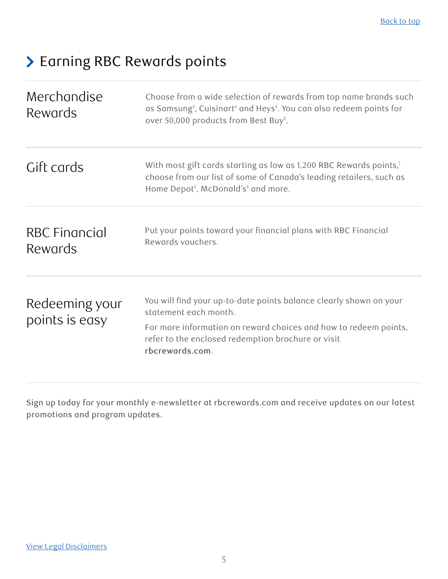## > Earning RBC Rewards points

| Merchandise<br>Rewards           | Choose from a wide selection of rewards from top name brands such<br>as Samsung <sup>‡</sup> , Cuisinart <sup>‡</sup> and Heys <sup>‡</sup> . You can also redeem points for<br>over 50,000 products from Best Buy <sup>‡</sup> .        |
|----------------------------------|------------------------------------------------------------------------------------------------------------------------------------------------------------------------------------------------------------------------------------------|
| Gift cards                       | With most gift cards starting as low as 1,200 RBC Rewards points, <sup>7</sup><br>choose from our list of some of Canada's leading retailers, such as<br>Home Depot <sup>#</sup> , McDonald's <sup>#</sup> and more.                     |
| RBC Financial<br>Rewards         | Put your points toward your financial plans with RBC Financial<br>Rewards vouchers.                                                                                                                                                      |
| Redeeming your<br>points is easy | You will find your up-to-date points balance clearly shown on your<br>statement each month.<br>For more information on reward choices and how to redeem points,<br>refer to the enclosed redemption brochure or visit<br>rbcrewards.com. |

Sign up today for your monthly e-newsletter at rbcrewards.com and receive updates on our latest promotions and program updates.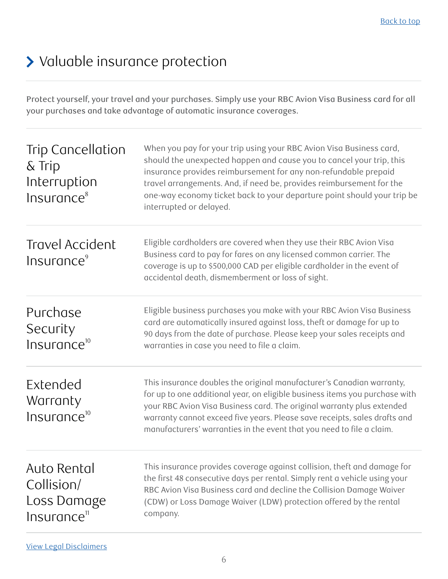## <span id="page-5-0"></span>> Valuable insurance protection

Protect yourself, your travel and your purchases. Simply use your RBC Avion Visa Business card for all your purchases and take advantage of automatic insurance coverages.

| <b>Trip Cancellation</b><br>$\&$ Trip<br>Interruption<br>Insurance <sup>8</sup> | When you pay for your trip using your RBC Avion Visa Business card,<br>should the unexpected happen and cause you to cancel your trip, this<br>insurance provides reimbursement for any non-refundable prepaid<br>travel arrangements. And, if need be, provides reimbursement for the<br>one-way economy ticket back to your departure point should your trip be<br>interrupted or delayed. |
|---------------------------------------------------------------------------------|----------------------------------------------------------------------------------------------------------------------------------------------------------------------------------------------------------------------------------------------------------------------------------------------------------------------------------------------------------------------------------------------|
| Travel Accident<br>Insurance <sup>9</sup>                                       | Eligible cardholders are covered when they use their RBC Avion Visa<br>Business card to pay for fares on any licensed common carrier. The<br>coverage is up to \$500,000 CAD per eligible cardholder in the event of<br>accidental death, dismemberment or loss of sight.                                                                                                                    |
| Purchase<br>Security<br>Insurance <sup>10</sup>                                 | Eligible business purchases you make with your RBC Avion Visa Business<br>card are automatically insured against loss, theft or damage for up to<br>90 days from the date of purchase. Please keep your sales receipts and<br>warranties in case you need to file a claim.                                                                                                                   |
| Extended<br>Warranty<br>Insurance <sup>10</sup>                                 | This insurance doubles the original manufacturer's Canadian warranty,<br>for up to one additional year, on eligible business items you purchase with<br>your RBC Avion Visa Business card. The original warranty plus extended<br>warranty cannot exceed five years. Please save receipts, sales drafts and<br>manufacturers' warranties in the event that you need to file a claim.         |
| Auto Rental<br>Collision/<br>Loss Damage<br>Insurance <sup>11</sup>             | This insurance provides coverage against collision, theft and damage for<br>the first 48 consecutive days per rental. Simply rent a vehicle using your<br>RBC Avion Visa Business card and decline the Collision Damage Waiver<br>(CDW) or Loss Damage Waiver (LDW) protection offered by the rental<br>company.                                                                             |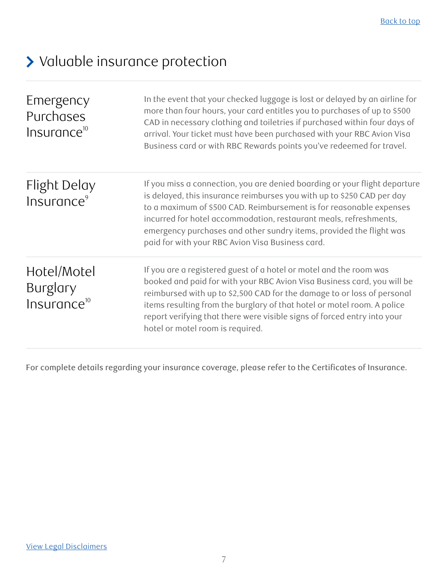# > Valuable insurance protection

| Emergency<br>Purchases<br>Insurance <sup>10</sup> | In the event that your checked luggage is lost or delayed by an airline for<br>more than four hours, your card entitles you to purchases of up to \$500<br>CAD in necessary clothing and toiletries if purchased within four days of<br>arrival. Your ticket must have been purchased with your RBC Avion Visa<br>Business card or with RBC Rewards points you've redeemed for travel.                                      |
|---------------------------------------------------|-----------------------------------------------------------------------------------------------------------------------------------------------------------------------------------------------------------------------------------------------------------------------------------------------------------------------------------------------------------------------------------------------------------------------------|
| Flight Delay<br>Insurance <sup>9</sup>            | If you miss a connection, you are denied boarding or your flight departure<br>is delayed, this insurance reimburses you with up to \$250 CAD per day<br>to a maximum of \$500 CAD. Reimbursement is for reasonable expenses<br>incurred for hotel accommodation, restaurant meals, refreshments,<br>emergency purchases and other sundry items, provided the flight was<br>paid for with your RBC Avion Visa Business card. |
| Hotel/Motel<br>Burglary<br>$Insurance^{10}$       | If you are a registered guest of a hotel or motel and the room was<br>booked and paid for with your RBC Avion Visa Business card, you will be<br>reimbursed with up to \$2,500 CAD for the damage to or loss of personal<br>items resulting from the burglary of that hotel or motel room. A police<br>report verifying that there were visible signs of forced entry into your<br>hotel or motel room is required.         |

For complete details regarding your insurance coverage, please refer to the Certificates of Insurance.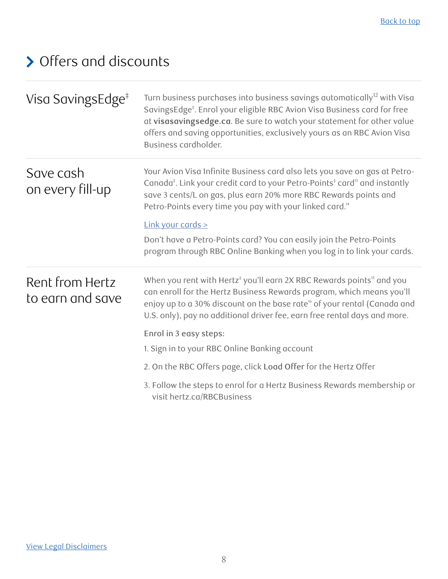# <span id="page-7-0"></span>Offers and discounts

| Visa SavingsEdge <sup>#</sup>       | Turn business purchases into business savings automatically <sup>12</sup> with Visa<br>SavingsEdge <sup>‡</sup> . Enrol your eligible RBC Avion Visa Business card for free<br>at visasavingsedge.ca. Be sure to watch your statement for other value<br>offers and saving opportunities, exclusively yours as an RBC Avion Visa<br>Business cardholder. |
|-------------------------------------|----------------------------------------------------------------------------------------------------------------------------------------------------------------------------------------------------------------------------------------------------------------------------------------------------------------------------------------------------------|
| Save cash<br>on every fill-up       | Your Avion Visa Infinite Business card also lets you save on gas at Petro-<br>Canada <sup>‡</sup> . Link your credit card to your Petro-Points <sup>‡</sup> card <sup>13</sup> and instantly<br>save 3 cents/L on gas, plus earn 20% more RBC Rewards points and<br>Petro-Points every time you pay with your linked card. <sup>14</sup>                 |
|                                     | Link your cards >                                                                                                                                                                                                                                                                                                                                        |
|                                     | Don't have a Petro-Points card? You can easily join the Petro-Points<br>program through RBC Online Banking when you log in to link your cards.                                                                                                                                                                                                           |
| Rent from Hertz<br>to earn and save | When you rent with Hertz <sup>#</sup> you'll earn 2X RBC Rewards points <sup>15</sup> and you<br>can enroll for the Hertz Business Rewards program, which means you'll<br>enjoy up to a 30% discount on the base rate <sup>16</sup> of your rental (Canada and<br>U.S. only), pay no additional driver fee, earn free rental days and more.              |
|                                     | Enrol in 3 easy steps:                                                                                                                                                                                                                                                                                                                                   |
|                                     | 1. Sign in to your RBC Online Banking account                                                                                                                                                                                                                                                                                                            |
|                                     | 2. On the RBC Offers page, click Load Offer for the Hertz Offer                                                                                                                                                                                                                                                                                          |
|                                     | 3. Follow the steps to enrol for a Hertz Business Rewards membership or<br>visit hertz.ca/RBCBusiness                                                                                                                                                                                                                                                    |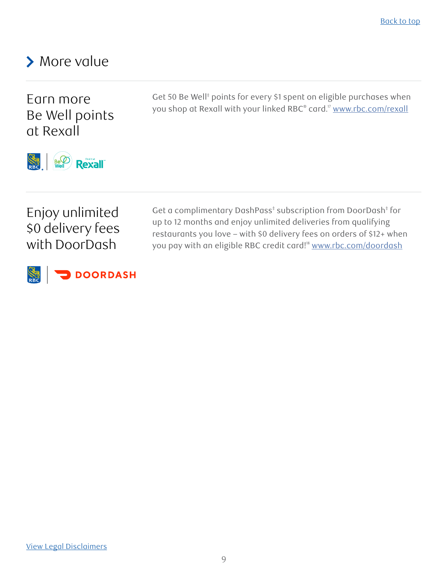## <span id="page-8-0"></span>> More value

Earn more Be Well points at Rexall

Get 50 Be Well<sup>‡</sup> points for every \$1 spent on eligible purchases when you shop at Rexall with your linked RBC® card." <u>www.rbc.com/rexall</u>



## Enjoy unlimited \$0 delivery fees with DoorDash

Get a complimentary DashPass<sup>‡</sup> subscription from DoorDash<sup>‡</sup> for up to 12 months and enjoy unlimited deliveries from qualifying restaurants you love – with \$0 delivery fees on orders of \$12+ when you pay with an eligible RBC credit card!<sup>8</sup> [www.rbc.com/doordash](http://www.rbc.com/doordash)



[View Legal Disclaimers](#page-10-0)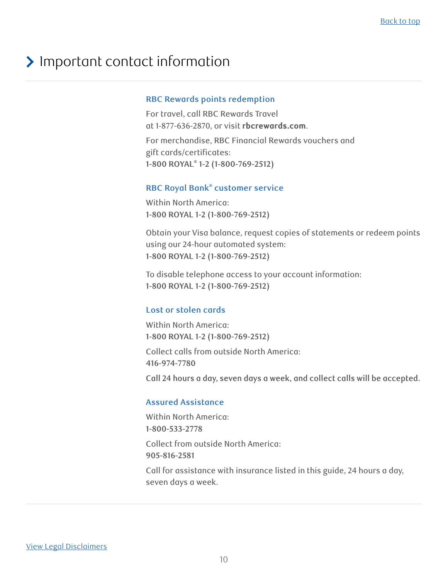## <span id="page-9-0"></span>> Important contact information

#### **RBC Rewards points redemption**

For travel, call RBC Rewards Travel at 1-877-636-2870, or visit **[rbcrewards.com](https://www.rbcrewards.com)**. For merchandise, RBC Financial Rewards vouchers and gift cards/certificates: **1-800 ROYAL® 1-2 (1-800-769-2512)**

#### **RBC Royal Bank® customer service**

Within North America: **1-800 ROYAL 1-2 (1-800-769-2512)**

Obtain your Visa balance, request copies of statements or redeem points using our 24-hour automated system: **1-800 ROYAL 1-2 (1-800-769-2512)**

To disable telephone access to your account information: **1-800 ROYAL 1-2 (1-800-769-2512)**

#### **Lost or stolen cards**

Within North America: **1-800 ROYAL 1-2 (1-800-769-2512)**

Collect calls from outside North America: **416-974-7780**

**Call 24 hours a day, seven days a week, and collect calls will be accepted.**

#### **Assured Assistance**

Within North America: **1-800-533-2778** Collect from outside North America: **905-816-2581**

Call for assistance with insurance listed in this guide, 24 hours a day, seven days a week.